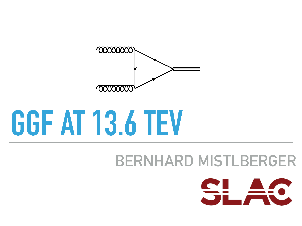

# **GGF AT 13.6 TEV**

# **BERNHARD MISTLBERGER**

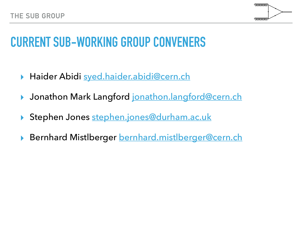

## **CURRENT SUB-WORKING GROUP CONVENERS**

- ▸ Haider Abidi [syed.haider.abidi@cern.ch](mailto:syed.haider.abidi@cern.ch)
- ▸ Jonathon Mark Langford [jonathon.langford@cern.ch](mailto:jonathon.langford@cern.ch)
- ▶ Stephen Jones [stephen.jones@durham.ac.uk](mailto:stephen.jones@durham.ac.uk)
- ▸ Bernhard Mistlberger [bernhard.mistlberger@cern.ch](mailto:bernhard.mistlberger@cern.ch?subject=)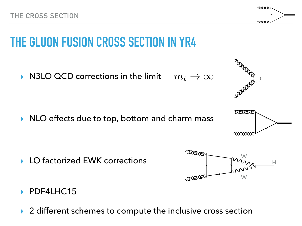

# **THE GLUON FUSION CROSS SECTION IN YR4**

▸ N3LO QCD corrections in the limit  $m_t \rightarrow \infty$ 

▸ NLO effects due to top, bottom and charm mass

▶ LO factorized EWK corrections



#### ▸ PDF4LHC15

▸ 2 different schemes to compute the inclusive cross section



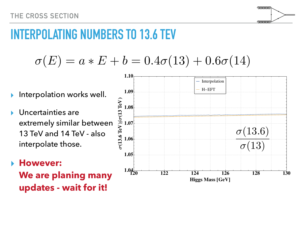

## **INTERPOLATING NUMBERS TO 13.6 TEV**

$$
\sigma(E) = a * E + b = 0.4\sigma(13) + 0.6\sigma(14)
$$

- Interpolation works well.
- Uncertainties are extremely similar between 13 TeV and 14 TeV - also interpolate those.

▸ **However: We are planing many updates - wait for it!**

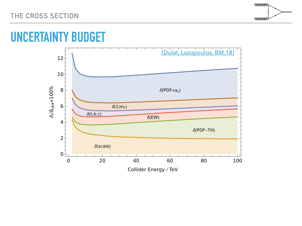

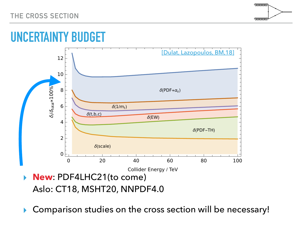



Comparison studies on the cross section will be necessary!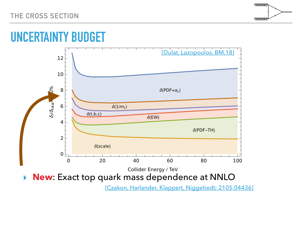



[\[Czakon, Harlander, Klappert, Niggetiedt; 2105.04436\]](https://arxiv.org/pdf/2105.04436.pdf)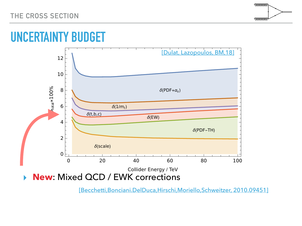



[\[Becchetti,Bonciani.DelDuca,Hirschi,Moriello,Schweitzer, 2010.09451\]](https://arxiv.org/pdf/2010.09451.pdf)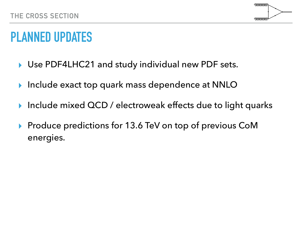

### **PLANNED UPDATES**

- ▸ Use PDF4LHC21 and study individual new PDF sets.
- ▸ Include exact top quark mass dependence at NNLO
- Include mixed QCD / electroweak effects due to light quarks
- Produce predictions for 13.6 TeV on top of previous CoM energies.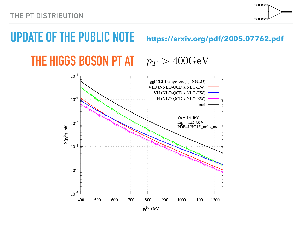

#### **UPDATE OF THE PUBLIC NOTE <https://arxiv.org/pdf/2005.07762.pdf>**

## **THE HIGGS BOSON PT AT**  $p_T > 400 \text{GeV}$

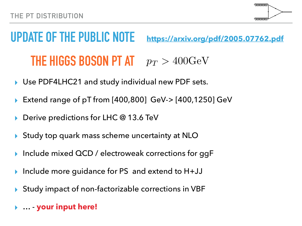

#### **UPDATE OF THE PUBLIC NOTE <https://arxiv.org/pdf/2005.07762.pdf> THE HIGGS BOSON PT AT**  $p_T > 400 \text{GeV}$

- Use PDF4LHC21 and study individual new PDF sets.
- ▸ Extend range of pT from [400,800] GeV-> [400,1250] GeV
- Derive predictions for LHC @ 13.6 TeV
- Study top quark mass scheme uncertainty at NLO
- Include mixed QCD / electroweak corrections for ggF
- ▸ Include more guidance for PS and extend to H+JJ
- ▸ Study impact of non-factorizable corrections in VBF
- ▸ … **your input here!**